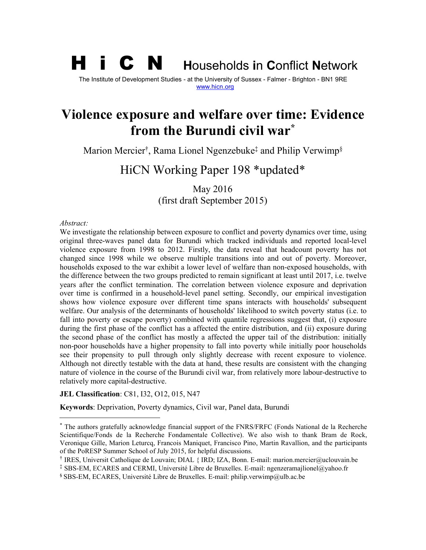# H i C N **<sup>H</sup>**ouseholds **<sup>i</sup>**<sup>n</sup> **<sup>C</sup>**onflict **<sup>N</sup>**etwork

The Institute of Development Studies - at the University of Sussex - Falmer - Brighton - BN1 9RE [www.hicn.org](http://www.hicn.org/)

## **Violence exposure and welfare over time: Evidence from the Burundi civil w[ar](#page-0-0) \***

Marion Merci[er](#page-0-1)† , Rama Lionel Ngenzebu[ke](#page-0-2)‡ and Philip Verwi[mp](#page-0-3)§

# HiCN Working Paper 198 \*updated\*

May 2016 (first draft September 2015)

#### *Abstract:*

We investigate the relationship between exposure to conflict and poverty dynamics over time, using original three-waves panel data for Burundi which tracked individuals and reported local-level violence exposure from 1998 to 2012. Firstly, the data reveal that headcount poverty has not changed since 1998 while we observe multiple transitions into and out of poverty. Moreover, households exposed to the war exhibit a lower level of welfare than non-exposed households, with the difference between the two groups predicted to remain significant at least until 2017, i.e. twelve years after the conflict termination. The correlation between violence exposure and deprivation over time is confirmed in a household-level panel setting. Secondly, our empirical investigation shows how violence exposure over different time spans interacts with households' subsequent welfare. Our analysis of the determinants of households' likelihood to switch poverty status (i.e. to fall into poverty or escape poverty) combined with quantile regressions suggest that, (i) exposure during the first phase of the conflict has a affected the entire distribution, and (ii) exposure during the second phase of the conflict has mostly a affected the upper tail of the distribution: initially non-poor households have a higher propensity to fall into poverty while initially poor households see their propensity to pull through only slightly decrease with recent exposure to violence. Although not directly testable with the data at hand, these results are consistent with the changing nature of violence in the course of the Burundi civil war, from relatively morelabour-destructive to relatively more capital-destructive.

#### **JEL Classification**: C81, I32, O12, 015, N47

**Keywords**: Deprivation, Poverty dynamics, Civil war, Panel data, Burundi

<span id="page-0-0"></span><sup>\*</sup> The authors gratefully acknowledge financial support of the FNRS/FRFC (Fonds National de la Recherche Scientifique/Fonds de la Recherche Fondamentale Collective). We also wish to thank Bram de Rock, Veronique Gille, Marion Leturcq, Francois Maniquet, Francisco Pino, Martin Ravallion, and the participants of the PoRESP Summer School of July 2015, for helpful discussions.

<span id="page-0-1"></span><sup>†</sup> IRES, Universit Catholique de Louvain; DIAL { IRD; IZA, Bonn. E-mail: marion.mercier@uclouvain.be

<span id="page-0-2"></span> $\frac{1}{2}$  SBS-EM, ECARES and CERMI, Université Libre de Bruxelles. E-mail: ngenzeramajlionel@yahoo.fr

<span id="page-0-3"></span><sup>§</sup> SBS-EM, ECARES, Université Libre de Bruxelles. E-mail: philip.verwimp@ulb.ac.be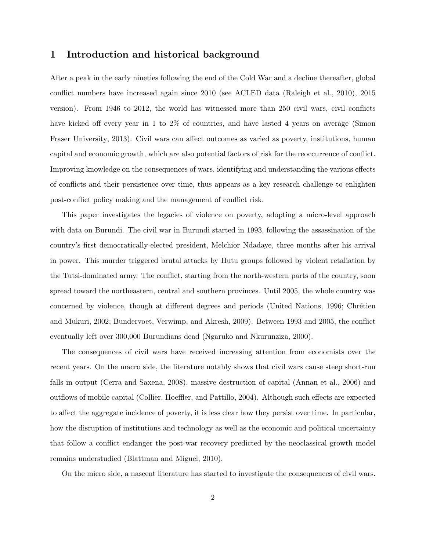## 1 Introduction and historical background

After a peak in the early nineties following the end of the Cold War and a decline thereafter, global conflict numbers have increased again since 2010 (see ACLED data (Raleigh et al., 2010), 2015 version). From 1946 to 2012, the world has witnessed more than 250 civil wars, civil conflicts have kicked off every year in 1 to 2% of countries, and have lasted 4 years on average (Simon Fraser University, 2013). Civil wars can affect outcomes as varied as poverty, institutions, human capital and economic growth, which are also potential factors of risk for the reoccurrence of conflict. Improving knowledge on the consequences of wars, identifying and understanding the various effects of conflicts and their persistence over time, thus appears as a key research challenge to enlighten post-conflict policy making and the management of conflict risk.

This paper investigates the legacies of violence on poverty, adopting a micro-level approach with data on Burundi. The civil war in Burundi started in 1993, following the assassination of the country's first democratically-elected president, Melchior Ndadaye, three months after his arrival in power. This murder triggered brutal attacks by Hutu groups followed by violent retaliation by the Tutsi-dominated army. The conflict, starting from the north-western parts of the country, soon spread toward the northeastern, central and southern provinces. Until 2005, the whole country was concerned by violence, though at different degrees and periods (United Nations, 1996; Chrétien and Mukuri, 2002; Bundervoet, Verwimp, and Akresh, 2009). Between 1993 and 2005, the conflict eventually left over 300,000 Burundians dead (Ngaruko and Nkurunziza, 2000).

The consequences of civil wars have received increasing attention from economists over the recent years. On the macro side, the literature notably shows that civil wars cause steep short-run falls in output (Cerra and Saxena, 2008), massive destruction of capital (Annan et al., 2006) and outflows of mobile capital (Collier, Hoeffler, and Pattillo, 2004). Although such effects are expected to affect the aggregate incidence of poverty, it is less clear how they persist over time. In particular, how the disruption of institutions and technology as well as the economic and political uncertainty that follow a conflict endanger the post-war recovery predicted by the neoclassical growth model remains understudied (Blattman and Miguel, 2010).

On the micro side, a nascent literature has started to investigate the consequences of civil wars.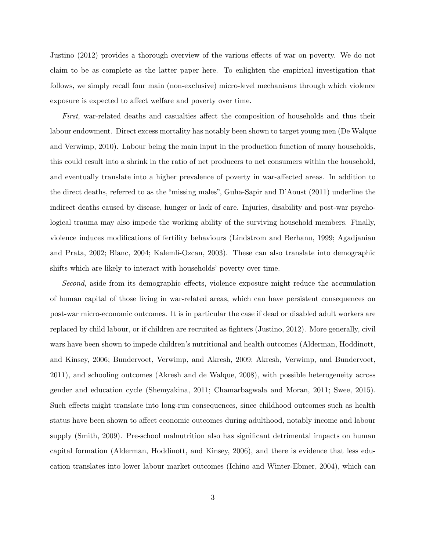Justino (2012) provides a thorough overview of the various effects of war on poverty. We do not claim to be as complete as the latter paper here. To enlighten the empirical investigation that follows, we simply recall four main (non-exclusive) micro-level mechanisms through which violence exposure is expected to affect welfare and poverty over time.

First, war-related deaths and casualties affect the composition of households and thus their labour endowment. Direct excess mortality has notably been shown to target young men (De Walque and Verwimp, 2010). Labour being the main input in the production function of many households, this could result into a shrink in the ratio of net producers to net consumers within the household, and eventually translate into a higher prevalence of poverty in war-affected areas. In addition to the direct deaths, referred to as the "missing males", Guha-Sapir and D'Aoust (2011) underline the indirect deaths caused by disease, hunger or lack of care. Injuries, disability and post-war psychological trauma may also impede the working ability of the surviving household members. Finally, violence induces modifications of fertility behaviours (Lindstrom and Berhanu, 1999; Agadjanian and Prata, 2002; Blanc, 2004; Kalemli-Ozcan, 2003). These can also translate into demographic shifts which are likely to interact with households' poverty over time.

Second, aside from its demographic effects, violence exposure might reduce the accumulation of human capital of those living in war-related areas, which can have persistent consequences on post-war micro-economic outcomes. It is in particular the case if dead or disabled adult workers are replaced by child labour, or if children are recruited as fighters (Justino, 2012). More generally, civil wars have been shown to impede children's nutritional and health outcomes (Alderman, Hoddinott, and Kinsey, 2006; Bundervoet, Verwimp, and Akresh, 2009; Akresh, Verwimp, and Bundervoet, 2011), and schooling outcomes (Akresh and de Walque, 2008), with possible heterogeneity across gender and education cycle (Shemyakina, 2011; Chamarbagwala and Moran, 2011; Swee, 2015). Such effects might translate into long-run consequences, since childhood outcomes such as health status have been shown to affect economic outcomes during adulthood, notably income and labour supply (Smith, 2009). Pre-school malnutrition also has significant detrimental impacts on human capital formation (Alderman, Hoddinott, and Kinsey, 2006), and there is evidence that less education translates into lower labour market outcomes (Ichino and Winter-Ebmer, 2004), which can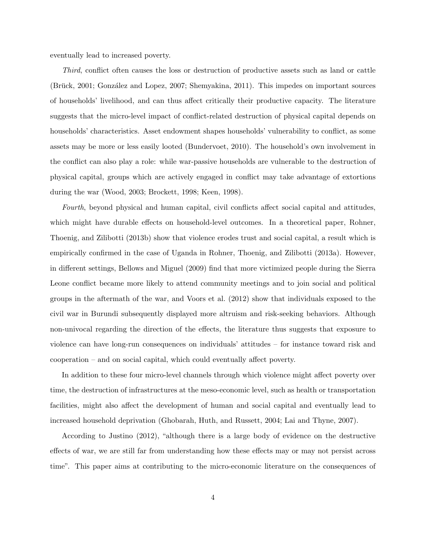eventually lead to increased poverty.

Third, conflict often causes the loss or destruction of productive assets such as land or cattle (Brück, 2001; González and Lopez, 2007; Shemyakina, 2011). This impedes on important sources of households' livelihood, and can thus affect critically their productive capacity. The literature suggests that the micro-level impact of conflict-related destruction of physical capital depends on households' characteristics. Asset endowment shapes households' vulnerability to conflict, as some assets may be more or less easily looted (Bundervoet, 2010). The household's own involvement in the conflict can also play a role: while war-passive households are vulnerable to the destruction of physical capital, groups which are actively engaged in conflict may take advantage of extortions during the war (Wood, 2003; Brockett, 1998; Keen, 1998).

Fourth, beyond physical and human capital, civil conflicts affect social capital and attitudes, which might have durable effects on household-level outcomes. In a theoretical paper, Rohner, Thoenig, and Zilibotti (2013b) show that violence erodes trust and social capital, a result which is empirically confirmed in the case of Uganda in Rohner, Thoenig, and Zilibotti (2013a). However, in different settings, Bellows and Miguel (2009) find that more victimized people during the Sierra Leone conflict became more likely to attend community meetings and to join social and political groups in the aftermath of the war, and Voors et al. (2012) show that individuals exposed to the civil war in Burundi subsequently displayed more altruism and risk-seeking behaviors. Although non-univocal regarding the direction of the effects, the literature thus suggests that exposure to violence can have long-run consequences on individuals' attitudes – for instance toward risk and cooperation – and on social capital, which could eventually affect poverty.

In addition to these four micro-level channels through which violence might affect poverty over time, the destruction of infrastructures at the meso-economic level, such as health or transportation facilities, might also affect the development of human and social capital and eventually lead to increased household deprivation (Ghobarah, Huth, and Russett, 2004; Lai and Thyne, 2007).

According to Justino (2012), "although there is a large body of evidence on the destructive effects of war, we are still far from understanding how these effects may or may not persist across time". This paper aims at contributing to the micro-economic literature on the consequences of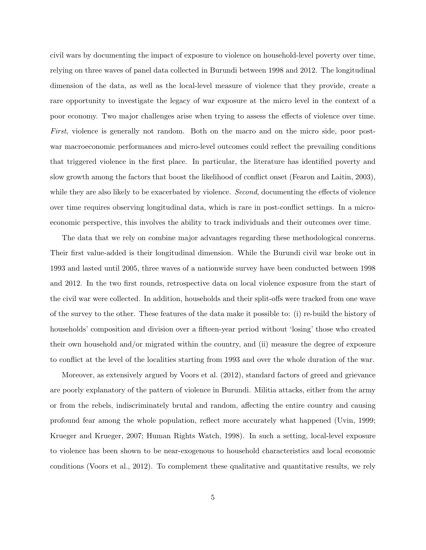civil wars by documenting the impact of exposure to violence on household-level poverty over time, relying on three waves of panel data collected in Burundi between 1998 and 2012. The longitudinal dimension of the data, as well as the local-level measure of violence that they provide, create a rare opportunity to investigate the legacy of war exposure at the micro level in the context of a poor economy. Two major challenges arise when trying to assess the effects of violence over time. First, violence is generally not random. Both on the macro and on the micro side, poor postwar macroeconomic performances and micro-level outcomes could reflect the prevailing conditions that triggered violence in the first place. In particular, the literature has identified poverty and slow growth among the factors that boost the likelihood of conflict onset (Fearon and Laitin, 2003), while they are also likely to be exacerbated by violence. *Second*, documenting the effects of violence over time requires observing longitudinal data, which is rare in post-conflict settings. In a microeconomic perspective, this involves the ability to track individuals and their outcomes over time.

The data that we rely on combine major advantages regarding these methodological concerns. Their first value-added is their longitudinal dimension. While the Burundi civil war broke out in 1993 and lasted until 2005, three waves of a nationwide survey have been conducted between 1998 and 2012. In the two first rounds, retrospective data on local violence exposure from the start of the civil war were collected. In addition, households and their split-offs were tracked from one wave of the survey to the other. These features of the data make it possible to: (i) re-build the history of households' composition and division over a fifteen-year period without 'losing' those who created their own household and/or migrated within the country, and (ii) measure the degree of exposure to conflict at the level of the localities starting from 1993 and over the whole duration of the war.

Moreover, as extensively argued by Voors et al. (2012), standard factors of greed and grievance are poorly explanatory of the pattern of violence in Burundi. Militia attacks, either from the army or from the rebels, indiscriminately brutal and random, affecting the entire country and causing profound fear among the whole population, reflect more accurately what happened (Uvin, 1999; Krueger and Krueger, 2007; Human Rights Watch, 1998). In such a setting, local-level exposure to violence has been shown to be near-exogenous to household characteristics and local economic conditions (Voors et al., 2012). To complement these qualitative and quantitative results, we rely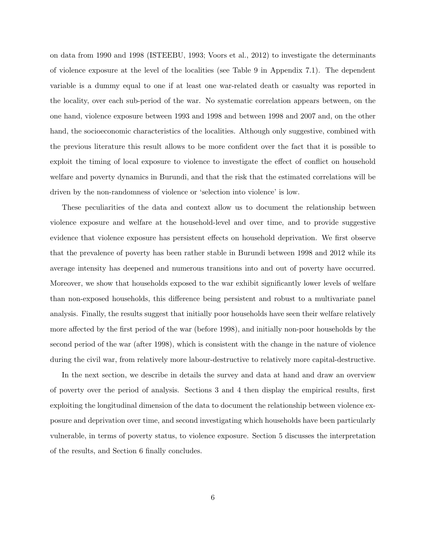on data from 1990 and 1998 (ISTEEBU, 1993; Voors et al., 2012) to investigate the determinants of violence exposure at the level of the localities (see Table 9 in Appendix 7.1). The dependent variable is a dummy equal to one if at least one war-related death or casualty was reported in the locality, over each sub-period of the war. No systematic correlation appears between, on the one hand, violence exposure between 1993 and 1998 and between 1998 and 2007 and, on the other hand, the socioeconomic characteristics of the localities. Although only suggestive, combined with the previous literature this result allows to be more confident over the fact that it is possible to exploit the timing of local exposure to violence to investigate the effect of conflict on household welfare and poverty dynamics in Burundi, and that the risk that the estimated correlations will be driven by the non-randomness of violence or 'selection into violence' is low.

These peculiarities of the data and context allow us to document the relationship between violence exposure and welfare at the household-level and over time, and to provide suggestive evidence that violence exposure has persistent effects on household deprivation. We first observe that the prevalence of poverty has been rather stable in Burundi between 1998 and 2012 while its average intensity has deepened and numerous transitions into and out of poverty have occurred. Moreover, we show that households exposed to the war exhibit significantly lower levels of welfare than non-exposed households, this difference being persistent and robust to a multivariate panel analysis. Finally, the results suggest that initially poor households have seen their welfare relatively more affected by the first period of the war (before 1998), and initially non-poor households by the second period of the war (after 1998), which is consistent with the change in the nature of violence during the civil war, from relatively more labour-destructive to relatively more capital-destructive.

In the next section, we describe in details the survey and data at hand and draw an overview of poverty over the period of analysis. Sections 3 and 4 then display the empirical results, first exploiting the longitudinal dimension of the data to document the relationship between violence exposure and deprivation over time, and second investigating which households have been particularly vulnerable, in terms of poverty status, to violence exposure. Section 5 discusses the interpretation of the results, and Section 6 finally concludes.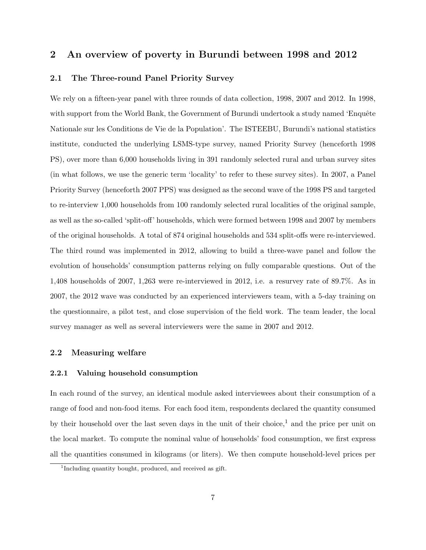### 2 An overview of poverty in Burundi between 1998 and 2012

#### 2.1 The Three-round Panel Priority Survey

We rely on a fifteen-year panel with three rounds of data collection, 1998, 2007 and 2012. In 1998, with support from the World Bank, the Government of Burundi undertook a study named 'Enquête Nationale sur les Conditions de Vie de la Population'. The ISTEEBU, Burundi's national statistics institute, conducted the underlying LSMS-type survey, named Priority Survey (henceforth 1998 PS), over more than 6,000 households living in 391 randomly selected rural and urban survey sites (in what follows, we use the generic term 'locality' to refer to these survey sites). In 2007, a Panel Priority Survey (henceforth 2007 PPS) was designed as the second wave of the 1998 PS and targeted to re-interview 1,000 households from 100 randomly selected rural localities of the original sample, as well as the so-called 'split-off' households, which were formed between 1998 and 2007 by members of the original households. A total of 874 original households and 534 split-offs were re-interviewed. The third round was implemented in 2012, allowing to build a three-wave panel and follow the evolution of households' consumption patterns relying on fully comparable questions. Out of the 1,408 households of 2007, 1,263 were re-interviewed in 2012, i.e. a resurvey rate of 89.7%. As in 2007, the 2012 wave was conducted by an experienced interviewers team, with a 5-day training on the questionnaire, a pilot test, and close supervision of the field work. The team leader, the local survey manager as well as several interviewers were the same in 2007 and 2012.

#### 2.2 Measuring welfare

#### 2.2.1 Valuing household consumption

In each round of the survey, an identical module asked interviewees about their consumption of a range of food and non-food items. For each food item, respondents declared the quantity consumed by their household over the last seven days in the unit of their choice,<sup>1</sup> and the price per unit on the local market. To compute the nominal value of households' food consumption, we first express all the quantities consumed in kilograms (or liters). We then compute household-level prices per

<sup>&</sup>lt;sup>1</sup>Including quantity bought, produced, and received as gift.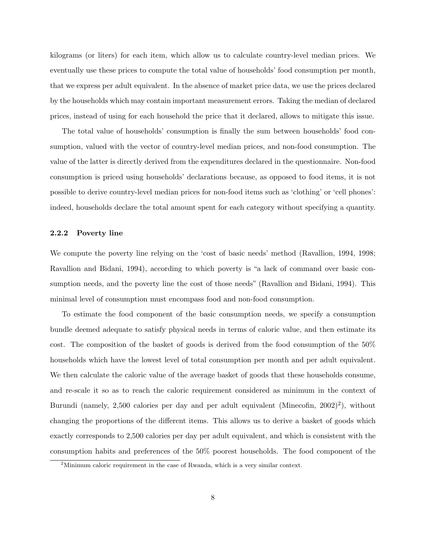kilograms (or liters) for each item, which allow us to calculate country-level median prices. We eventually use these prices to compute the total value of households' food consumption per month, that we express per adult equivalent. In the absence of market price data, we use the prices declared by the households which may contain important measurement errors. Taking the median of declared prices, instead of using for each household the price that it declared, allows to mitigate this issue.

The total value of households' consumption is finally the sum between households' food consumption, valued with the vector of country-level median prices, and non-food consumption. The value of the latter is directly derived from the expenditures declared in the questionnaire. Non-food consumption is priced using households' declarations because, as opposed to food items, it is not possible to derive country-level median prices for non-food items such as 'clothing' or 'cell phones': indeed, households declare the total amount spent for each category without specifying a quantity.

#### 2.2.2 Poverty line

We compute the poverty line relying on the 'cost of basic needs' method (Ravallion, 1994, 1998; Ravallion and Bidani, 1994), according to which poverty is "a lack of command over basic consumption needs, and the poverty line the cost of those needs" (Ravallion and Bidani, 1994). This minimal level of consumption must encompass food and non-food consumption.

To estimate the food component of the basic consumption needs, we specify a consumption bundle deemed adequate to satisfy physical needs in terms of caloric value, and then estimate its cost. The composition of the basket of goods is derived from the food consumption of the 50% households which have the lowest level of total consumption per month and per adult equivalent. We then calculate the caloric value of the average basket of goods that these households consume, and re-scale it so as to reach the caloric requirement considered as minimum in the context of Burundi (namely, 2,500 calories per day and per adult equivalent (Minecofin,  $2002$ )<sup>2</sup>), without changing the proportions of the different items. This allows us to derive a basket of goods which exactly corresponds to 2,500 calories per day per adult equivalent, and which is consistent with the consumption habits and preferences of the 50% poorest households. The food component of the

 $2^2$ Minimum caloric requirement in the case of Rwanda, which is a very similar context.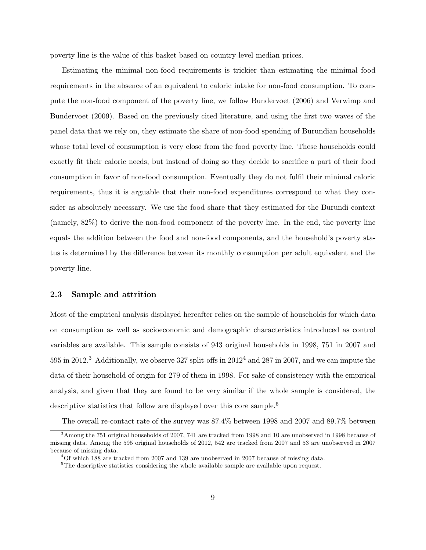poverty line is the value of this basket based on country-level median prices.

Estimating the minimal non-food requirements is trickier than estimating the minimal food requirements in the absence of an equivalent to caloric intake for non-food consumption. To compute the non-food component of the poverty line, we follow Bundervoet (2006) and Verwimp and Bundervoet (2009). Based on the previously cited literature, and using the first two waves of the panel data that we rely on, they estimate the share of non-food spending of Burundian households whose total level of consumption is very close from the food poverty line. These households could exactly fit their caloric needs, but instead of doing so they decide to sacrifice a part of their food consumption in favor of non-food consumption. Eventually they do not fulfil their minimal caloric requirements, thus it is arguable that their non-food expenditures correspond to what they consider as absolutely necessary. We use the food share that they estimated for the Burundi context (namely, 82%) to derive the non-food component of the poverty line. In the end, the poverty line equals the addition between the food and non-food components, and the household's poverty status is determined by the difference between its monthly consumption per adult equivalent and the poverty line.

#### 2.3 Sample and attrition

Most of the empirical analysis displayed hereafter relies on the sample of households for which data on consumption as well as socioeconomic and demographic characteristics introduced as control variables are available. This sample consists of 943 original households in 1998, 751 in 2007 and 595 in 2012.<sup>3</sup> Additionally, we observe 327 split-offs in 2012<sup>4</sup> and 287 in 2007, and we can impute the data of their household of origin for 279 of them in 1998. For sake of consistency with the empirical analysis, and given that they are found to be very similar if the whole sample is considered, the descriptive statistics that follow are displayed over this core sample.<sup>5</sup>

The overall re-contact rate of the survey was 87.4% between 1998 and 2007 and 89.7% between

<sup>&</sup>lt;sup>3</sup> Among the 751 original households of 2007, 741 are tracked from 1998 and 10 are unobserved in 1998 because of missing data. Among the 595 original households of 2012, 542 are tracked from 2007 and 53 are unobserved in 2007 because of missing data.

<sup>4</sup>Of which 188 are tracked from 2007 and 139 are unobserved in 2007 because of missing data.

 $5$ The descriptive statistics considering the whole available sample are available upon request.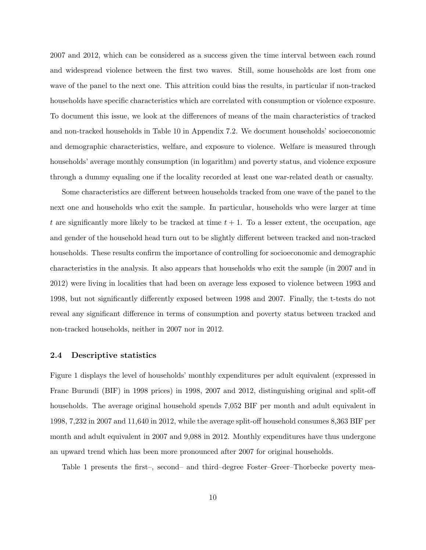2007 and 2012, which can be considered as a success given the time interval between each round and widespread violence between the first two waves. Still, some households are lost from one wave of the panel to the next one. This attrition could bias the results, in particular if non-tracked households have specific characteristics which are correlated with consumption or violence exposure. To document this issue, we look at the differences of means of the main characteristics of tracked and non-tracked households in Table 10 in Appendix 7.2. We document households' socioeconomic and demographic characteristics, welfare, and exposure to violence. Welfare is measured through households' average monthly consumption (in logarithm) and poverty status, and violence exposure through a dummy equaling one if the locality recorded at least one war-related death or casualty.

Some characteristics are different between households tracked from one wave of the panel to the next one and households who exit the sample. In particular, households who were larger at time t are significantly more likely to be tracked at time  $t + 1$ . To a lesser extent, the occupation, age and gender of the household head turn out to be slightly different between tracked and non-tracked households. These results confirm the importance of controlling for socioeconomic and demographic characteristics in the analysis. It also appears that households who exit the sample (in 2007 and in 2012) were living in localities that had been on average less exposed to violence between 1993 and 1998, but not significantly differently exposed between 1998 and 2007. Finally, the t-tests do not reveal any significant difference in terms of consumption and poverty status between tracked and non-tracked households, neither in 2007 nor in 2012.

#### 2.4 Descriptive statistics

Figure 1 displays the level of households' monthly expenditures per adult equivalent (expressed in Franc Burundi (BIF) in 1998 prices) in 1998, 2007 and 2012, distinguishing original and split-off households. The average original household spends 7,052 BIF per month and adult equivalent in 1998, 7,232 in 2007 and 11,640 in 2012, while the average split-off household consumes 8,363 BIF per month and adult equivalent in 2007 and 9,088 in 2012. Monthly expenditures have thus undergone an upward trend which has been more pronounced after 2007 for original households.

Table 1 presents the first–, second– and third–degree Foster–Greer–Thorbecke poverty mea-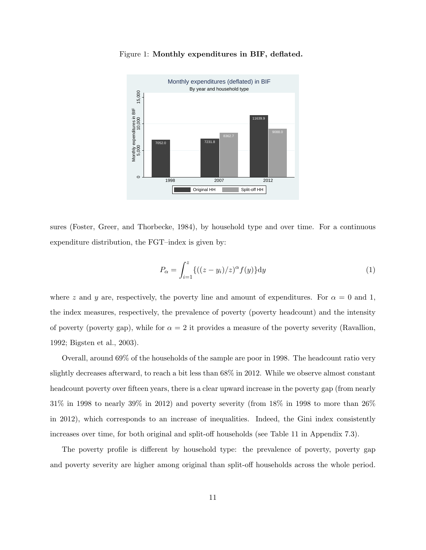

Figure 1: Monthly expenditures in BIF, deflated.

sures (Foster, Greer, and Thorbecke, 1984), by household type and over time. For a continuous expenditure distribution, the FGT–index is given by:

$$
P_{\alpha} = \int_{i=1}^{z} \{ ((z - y_i)/z)^{\alpha} f(y) \} dy
$$
 (1)

where z and y are, respectively, the poverty line and amount of expenditures. For  $\alpha = 0$  and 1, the index measures, respectively, the prevalence of poverty (poverty headcount) and the intensity of poverty (poverty gap), while for  $\alpha = 2$  it provides a measure of the poverty severity (Ravallion, 1992; Bigsten et al., 2003).

Overall, around 69% of the households of the sample are poor in 1998. The headcount ratio very slightly decreases afterward, to reach a bit less than 68% in 2012. While we observe almost constant headcount poverty over fifteen years, there is a clear upward increase in the poverty gap (from nearly 31% in 1998 to nearly 39% in 2012) and poverty severity (from 18% in 1998 to more than 26% in 2012), which corresponds to an increase of inequalities. Indeed, the Gini index consistently increases over time, for both original and split-off households (see Table 11 in Appendix 7.3).

The poverty profile is different by household type: the prevalence of poverty, poverty gap and poverty severity are higher among original than split-off households across the whole period.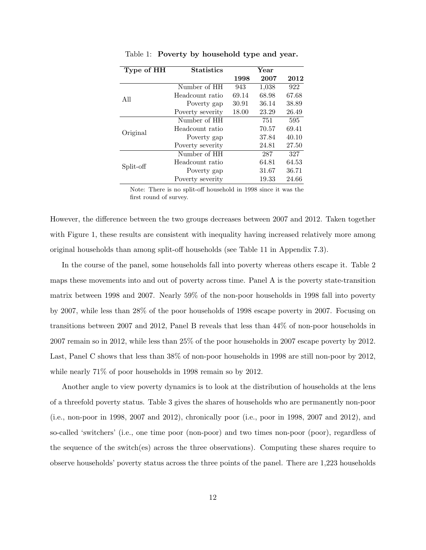| Type of HH | <b>Statistics</b> |       |       |       |
|------------|-------------------|-------|-------|-------|
|            |                   | 1998  | 2007  | 2012  |
|            | Number of HH      | 943   | 1,038 | 922   |
| A11        | Headcount ratio   | 69.14 | 68.98 | 67.68 |
|            | Poverty gap       | 30.91 | 36.14 | 38.89 |
|            | Poverty severity  | 18.00 | 23.29 | 26.49 |
|            | Number of HH      |       | 751   | 595   |
| Original   | Headcount ratio   |       | 70.57 | 69.41 |
|            | Poverty gap       |       | 37.84 | 40.10 |
|            | Poverty severity  |       | 24.81 | 27.50 |
|            | Number of HH      |       | 287   | 327   |
| Split-off  | Headcount ratio   |       | 64.81 | 64.53 |
|            | Poverty gap       |       | 31.67 | 36.71 |
|            | Poverty severity  |       | 19.33 | 24.66 |

Table 1: Poverty by household type and year.

Note: There is no split-off household in 1998 since it was the first round of survey.

However, the difference between the two groups decreases between 2007 and 2012. Taken together with Figure 1, these results are consistent with inequality having increased relatively more among original households than among split-off households (see Table 11 in Appendix 7.3).

In the course of the panel, some households fall into poverty whereas others escape it. Table 2 maps these movements into and out of poverty across time. Panel A is the poverty state-transition matrix between 1998 and 2007. Nearly 59% of the non-poor households in 1998 fall into poverty by 2007, while less than 28% of the poor households of 1998 escape poverty in 2007. Focusing on transitions between 2007 and 2012, Panel B reveals that less than 44% of non-poor households in 2007 remain so in 2012, while less than 25% of the poor households in 2007 escape poverty by 2012. Last, Panel C shows that less than 38% of non-poor households in 1998 are still non-poor by 2012, while nearly  $71\%$  of poor households in 1998 remain so by 2012.

Another angle to view poverty dynamics is to look at the distribution of households at the lens of a threefold poverty status. Table 3 gives the shares of households who are permanently non-poor (i.e., non-poor in 1998, 2007 and 2012), chronically poor (i.e., poor in 1998, 2007 and 2012), and so-called 'switchers' (i.e., one time poor (non-poor) and two times non-poor (poor), regardless of the sequence of the switch(es) across the three observations). Computing these shares require to observe households' poverty status across the three points of the panel. There are 1,223 households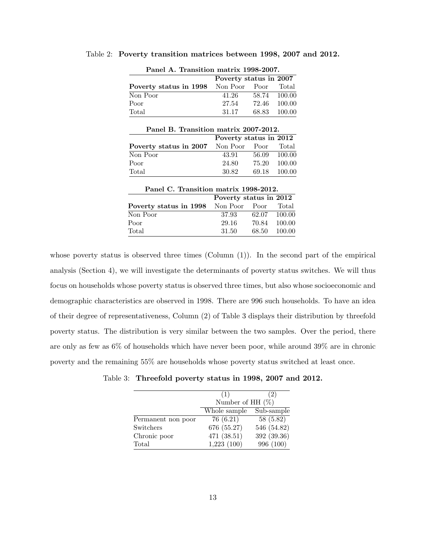| Panel A. Transition matrix 1998-2007.       |                        |       |              |  |  |  |
|---------------------------------------------|------------------------|-------|--------------|--|--|--|
|                                             | Poverty status in 2007 |       |              |  |  |  |
| <b>Poverty status in 1998</b> Non Poor Poor |                        |       | Total        |  |  |  |
| Non Poor                                    | 41.26                  |       | 58.74 100.00 |  |  |  |
| Poor                                        | 27.54                  |       | 72.46 100.00 |  |  |  |
| Total                                       | 31.17                  | 68.83 | $-100.00$    |  |  |  |

Table 2: Poverty transition matrices between 1998, 2007 and 2012.

| Panel B. Transition matrix 2007-2012.             |                        |       |              |  |  |  |  |
|---------------------------------------------------|------------------------|-------|--------------|--|--|--|--|
|                                                   | Poverty status in 2012 |       |              |  |  |  |  |
| <b>Poverty status in 2007</b> Non Poor Poor Total |                        |       |              |  |  |  |  |
| Non Poor                                          | 43.91                  |       | 56.09 100.00 |  |  |  |  |
| Poor                                              | 24.80                  | 75.20 | 100.00       |  |  |  |  |
| $\text{Total}$                                    | 30.82                  |       | 69.18 100.00 |  |  |  |  |
|                                                   |                        |       |              |  |  |  |  |

| Panel C. Transition matrix 1998-2012.             |                        |  |              |  |  |  |
|---------------------------------------------------|------------------------|--|--------------|--|--|--|
|                                                   | Poverty status in 2012 |  |              |  |  |  |
| <b>Poverty status in 1998</b> Non Poor Poor Total |                        |  |              |  |  |  |
| Non Poor                                          | 37.93                  |  | 62.07 100.00 |  |  |  |
| Poor                                              | 29.16                  |  | 70.84 100.00 |  |  |  |
| Total                                             | 31.50                  |  | 68.50 100.00 |  |  |  |
|                                                   |                        |  |              |  |  |  |

whose poverty status is observed three times (Column  $(1)$ ). In the second part of the empirical analysis (Section 4), we will investigate the determinants of poverty status switches. We will thus focus on households whose poverty status is observed three times, but also whose socioeconomic and demographic characteristics are observed in 1998. There are 996 such households. To have an idea of their degree of representativeness, Column (2) of Table 3 displays their distribution by threefold poverty status. The distribution is very similar between the two samples. Over the period, there are only as few as 6% of households which have never been poor, while around 39% are in chronic poverty and the remaining 55% are households whose poverty status switched at least once.

| Table 3: Threefold poverty status in 1998, 2007 and 2012 |  |  |  |  |
|----------------------------------------------------------|--|--|--|--|
|                                                          |  |  |  |  |

|                    | (1)                 | (2)                      |  |  |  |
|--------------------|---------------------|--------------------------|--|--|--|
|                    | Number of HH $(\%)$ |                          |  |  |  |
|                    | Whole sample        | Sub-sample               |  |  |  |
| Permanent non poor | 76(6.21)            | $\overline{58}$ $(5.82)$ |  |  |  |
| Switchers          | 676 (55.27)         | 546 (54.82)              |  |  |  |
| Chronic poor       | 471 (38.51)         | 392 (39.36)              |  |  |  |
| Total              | 1,223(100)          | 996 (100)                |  |  |  |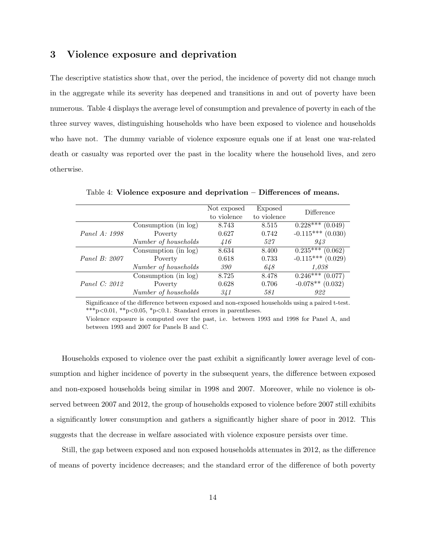## 3 Violence exposure and deprivation

The descriptive statistics show that, over the period, the incidence of poverty did not change much in the aggregate while its severity has deepened and transitions in and out of poverty have been numerous. Table 4 displays the average level of consumption and prevalence of poverty in each of the three survey waves, distinguishing households who have been exposed to violence and households who have not. The dummy variable of violence exposure equals one if at least one war-related death or casualty was reported over the past in the locality where the household lives, and zero otherwise.

|                      |                        | Not exposed<br>to violence | Exposed<br>to violence | Difference            |
|----------------------|------------------------|----------------------------|------------------------|-----------------------|
|                      | Consumption (in log)   | 8.743                      | 8.515                  | $0.228***$<br>(0.049) |
| Panel A: 1998        | Poverty                | 0.627                      | 0.742                  | $-0.115***$ (0.030)   |
|                      | Number of households   | 416                        | 527                    | 943                   |
|                      | Consumption (in log)   | 8.634                      | 8.400                  | $0.235***$<br>(0.062) |
| Panel B: 2007        | Poverty                | 0.618                      | 0.733                  | $-0.115***$ (0.029)   |
|                      | Number of households   | 390                        | 648                    | 1.038                 |
| <i>Panel C: 2012</i> | Consumption $(in log)$ | 8.725                      | 8.478                  | $0.246***$<br>(0.077) |
|                      | Poverty                | 0.628                      | 0.706                  | $-0.078**$ (0.032)    |
|                      | Number of households   | 341                        | 581                    | 922                   |

Table 4: Violence exposure and deprivation – Differences of means.

Significance of the difference between exposed and non-exposed households using a paired t-test. \*\*\*p<0.01, \*\*p<0.05, \*p<0.1. Standard errors in parentheses.

Violence exposure is computed over the past, i.e. between 1993 and 1998 for Panel A, and between 1993 and 2007 for Panels B and C.

Households exposed to violence over the past exhibit a significantly lower average level of consumption and higher incidence of poverty in the subsequent years, the difference between exposed and non-exposed households being similar in 1998 and 2007. Moreover, while no violence is observed between 2007 and 2012, the group of households exposed to violence before 2007 still exhibits a significantly lower consumption and gathers a significantly higher share of poor in 2012. This suggests that the decrease in welfare associated with violence exposure persists over time.

Still, the gap between exposed and non exposed households attenuates in 2012, as the difference of means of poverty incidence decreases; and the standard error of the difference of both poverty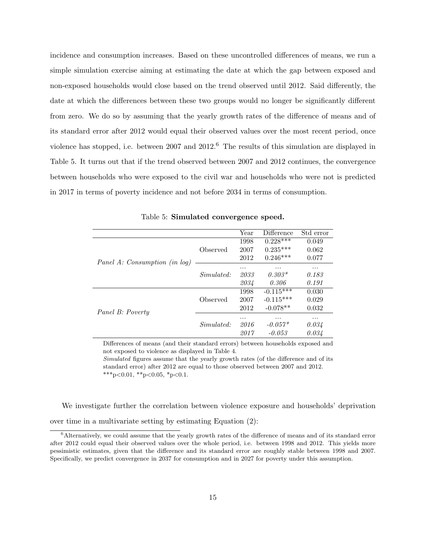incidence and consumption increases. Based on these uncontrolled differences of means, we run a simple simulation exercise aiming at estimating the date at which the gap between exposed and non-exposed households would close based on the trend observed until 2012. Said differently, the date at which the differences between these two groups would no longer be significantly different from zero. We do so by assuming that the yearly growth rates of the difference of means and of its standard error after 2012 would equal their observed values over the most recent period, once violence has stopped, i.e. between 2007 and 2012.<sup>6</sup> The results of this simulation are displayed in Table 5. It turns out that if the trend observed between 2007 and 2012 continues, the convergence between households who were exposed to the civil war and households who were not is predicted in 2017 in terms of poverty incidence and not before 2034 in terms of consumption.

|                               |           | Year | Difference  | Std error |
|-------------------------------|-----------|------|-------------|-----------|
|                               |           | 1998 | $0.228***$  | 0.049     |
|                               | Observed  | 2007 | $0.235***$  | 0.062     |
| Panel A: Consumption (in log) |           | 2012 | $0.246***$  | 0.077     |
|                               |           | .    | .           | .         |
|                               | Simulated | 2033 | $0.303*$    | 0.183     |
|                               |           | 2034 | 0.306       | 0.191     |
|                               |           | 1998 | $-0.115***$ | 0.030     |
|                               | Observed  | 2007 | $-0.115***$ | 0.029     |
| Panel B: Poverty              |           | 2012 | $-0.078**$  | 0.032     |
|                               |           | .    | .           | .         |
|                               | Simulated | 2016 | $-0.057*$   | 0.034     |
|                               |           | 2017 | $-0.053$    | 0.034     |

Table 5: Simulated convergence speed.

Differences of means (and their standard errors) between households exposed and not exposed to violence as displayed in Table 4.

Simulated figures assume that the yearly growth rates (of the difference and of its standard error) after 2012 are equal to those observed between 2007 and 2012. \*\*\*p<0.01, \*\*p<0.05, \*p<0.1.

We investigate further the correlation between violence exposure and households' deprivation over time in a multivariate setting by estimating Equation (2):

 $6$ Alternatively, we could assume that the yearly growth rates of the difference of means and of its standard error after 2012 could equal their observed values over the whole period, i.e. between 1998 and 2012. This yields more pessimistic estimates, given that the difference and its standard error are roughly stable between 1998 and 2007. Specifically, we predict convergence in 2037 for consumption and in 2027 for poverty under this assumption.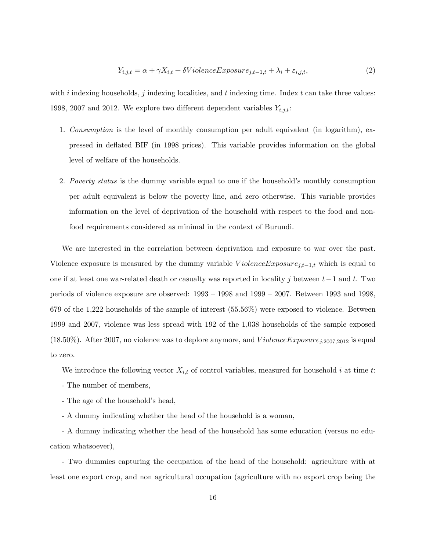$$
Y_{i,j,t} = \alpha + \gamma X_{i,t} + \delta VioleneExposure_{j,t-1,t} + \lambda_i + \varepsilon_{i,j,t},\tag{2}
$$

with i indexing households, j indexing localities, and t indexing time. Index t can take three values: 1998, 2007 and 2012. We explore two different dependent variables  $Y_{i,j,t}$ :

- 1. Consumption is the level of monthly consumption per adult equivalent (in logarithm), expressed in deflated BIF (in 1998 prices). This variable provides information on the global level of welfare of the households.
- 2. Poverty status is the dummy variable equal to one if the household's monthly consumption per adult equivalent is below the poverty line, and zero otherwise. This variable provides information on the level of deprivation of the household with respect to the food and nonfood requirements considered as minimal in the context of Burundi.

We are interested in the correlation between deprivation and exposure to war over the past. Violence exposure is measured by the dummy variable  $ViolenceExposure_{j,t-1,t}$  which is equal to one if at least one war-related death or casualty was reported in locality j between  $t-1$  and t. Two periods of violence exposure are observed: 1993 – 1998 and 1999 – 2007. Between 1993 and 1998, 679 of the 1,222 households of the sample of interest (55.56%) were exposed to violence. Between 1999 and 2007, violence was less spread with 192 of the 1,038 households of the sample exposed  $(18.50\%)$ . After 2007, no violence was to deplore anymore, and  $ViolenceExposure_{i,2007,2012}$  is equal to zero.

We introduce the following vector  $X_{i,t}$  of control variables, measured for household i at time t:

- The number of members,
- The age of the household's head,

- A dummy indicating whether the head of the household is a woman,

- A dummy indicating whether the head of the household has some education (versus no education whatsoever),

- Two dummies capturing the occupation of the head of the household: agriculture with at least one export crop, and non agricultural occupation (agriculture with no export crop being the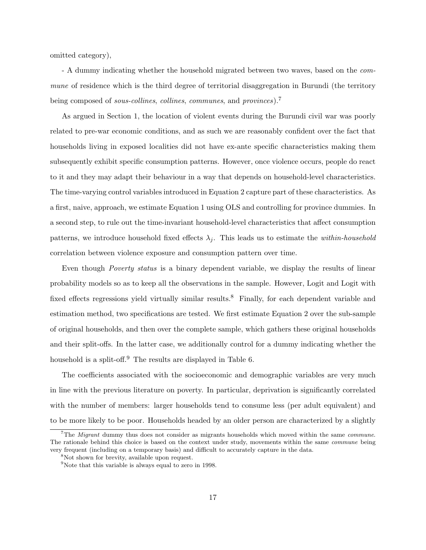omitted category),

- A dummy indicating whether the household migrated between two waves, based on the commune of residence which is the third degree of territorial disaggregation in Burundi (the territory being composed of *sous-collines*, *collines*, *communes*, and *provinces*).

As argued in Section 1, the location of violent events during the Burundi civil war was poorly related to pre-war economic conditions, and as such we are reasonably confident over the fact that households living in exposed localities did not have ex-ante specific characteristics making them subsequently exhibit specific consumption patterns. However, once violence occurs, people do react to it and they may adapt their behaviour in a way that depends on household-level characteristics. The time-varying control variables introduced in Equation 2 capture part of these characteristics. As a first, naive, approach, we estimate Equation 1 using OLS and controlling for province dummies. In a second step, to rule out the time-invariant household-level characteristics that affect consumption patterns, we introduce household fixed effects  $\lambda_i$ . This leads us to estimate the *within-household* correlation between violence exposure and consumption pattern over time.

Even though Poverty status is a binary dependent variable, we display the results of linear probability models so as to keep all the observations in the sample. However, Logit and Logit with fixed effects regressions yield virtually similar results.<sup>8</sup> Finally, for each dependent variable and estimation method, two specifications are tested. We first estimate Equation 2 over the sub-sample of original households, and then over the complete sample, which gathers these original households and their split-offs. In the latter case, we additionally control for a dummy indicating whether the household is a split-off.<sup>9</sup> The results are displayed in Table 6.

The coefficients associated with the socioeconomic and demographic variables are very much in line with the previous literature on poverty. In particular, deprivation is significantly correlated with the number of members: larger households tend to consume less (per adult equivalent) and to be more likely to be poor. Households headed by an older person are characterized by a slightly

<sup>&</sup>lt;sup>7</sup>The *Migrant* dummy thus does not consider as migrants households which moved within the same *commune*. The rationale behind this choice is based on the context under study, movements within the same commune being very frequent (including on a temporary basis) and difficult to accurately capture in the data.

<sup>&</sup>lt;sup>8</sup>Not shown for brevity, available upon request.

<sup>9</sup>Note that this variable is always equal to zero in 1998.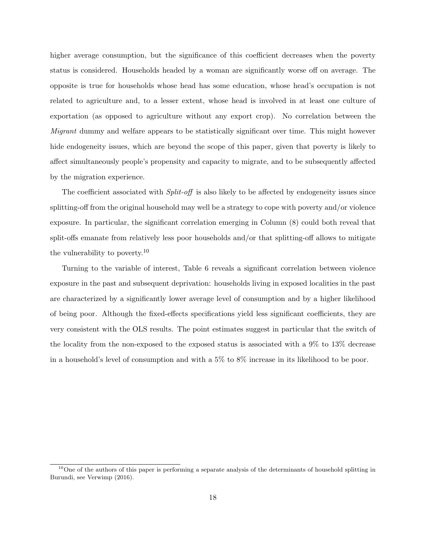higher average consumption, but the significance of this coefficient decreases when the poverty status is considered. Households headed by a woman are significantly worse off on average. The opposite is true for households whose head has some education, whose head's occupation is not related to agriculture and, to a lesser extent, whose head is involved in at least one culture of exportation (as opposed to agriculture without any export crop). No correlation between the Migrant dummy and welfare appears to be statistically significant over time. This might however hide endogeneity issues, which are beyond the scope of this paper, given that poverty is likely to affect simultaneously people's propensity and capacity to migrate, and to be subsequently affected by the migration experience.

The coefficient associated with  $Split-off$  is also likely to be affected by endogeneity issues since splitting-off from the original household may well be a strategy to cope with poverty and/or violence exposure. In particular, the significant correlation emerging in Column (8) could both reveal that split-offs emanate from relatively less poor households and/or that splitting-off allows to mitigate the vulnerability to poverty.<sup>10</sup>

Turning to the variable of interest, Table 6 reveals a significant correlation between violence exposure in the past and subsequent deprivation: households living in exposed localities in the past are characterized by a significantly lower average level of consumption and by a higher likelihood of being poor. Although the fixed-effects specifications yield less significant coefficients, they are very consistent with the OLS results. The point estimates suggest in particular that the switch of the locality from the non-exposed to the exposed status is associated with a 9% to 13% decrease in a household's level of consumption and with a 5% to 8% increase in its likelihood to be poor.

 $10$ One of the authors of this paper is performing a separate analysis of the determinants of household splitting in Burundi, see Verwimp (2016).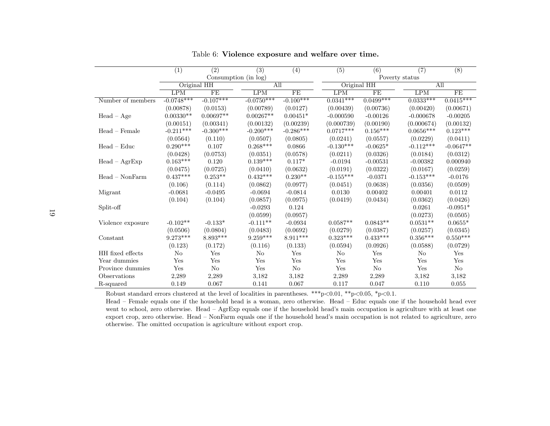|                   | (1)          | (2)         | (3)                  | (4)            | $\overline{(5)}$ | (6)         | $\overline{(7)}$ | $\overline{(8)}$ |  |
|-------------------|--------------|-------------|----------------------|----------------|------------------|-------------|------------------|------------------|--|
|                   |              |             | Consumption (in log) |                |                  |             | Poverty status   |                  |  |
|                   | Original HH  |             | AII                  |                |                  | Original HH |                  | AII              |  |
|                   | LPM          | FE          | LPM                  | FE             | LPM              | FE          | LPM              | FE               |  |
| Number of members | $-0.0748***$ | $-0.107***$ | $-0.0750***$         | $-0.100***$    | $0.0341***$      | $0.0499***$ | $0.0333***$      | $0.0415***$      |  |
|                   | (0.00878)    | (0.0153)    | (0.00789)            | (0.0127)       | (0.00439)        | (0.00736)   | (0.00420)        | (0.00671)        |  |
| $Head - Age$      | $0.00330**$  | $0.00697**$ | $0.00267**$          | $0.00451*$     | $-0.000590$      | $-0.00126$  | $-0.000678$      | $-0.00205$       |  |
|                   | (0.00151)    | (0.00341)   | (0.00132)            | (0.00239)      | (0.000739)       | (0.00190)   | (0.000674)       | (0.00132)        |  |
| $Head - Female$   | $-0.211***$  | $-0.300***$ | $-0.200***$          | $-0.286***$    | $0.0717***$      | $0.156***$  | $0.0656***$      | $0.123***$       |  |
|                   | (0.0564)     | (0.110)     | (0.0507)             | (0.0805)       | (0.0241)         | (0.0557)    | (0.0229)         | (0.0411)         |  |
| $Head - Educ$     | $0.290***$   | 0.107       | $0.268***$           | 0.0866         | $-0.130***$      | $-0.0625*$  | $-0.112***$      | $-0.0647**$      |  |
|                   | (0.0428)     | (0.0753)    | (0.0351)             | (0.0578)       | (0.0211)         | (0.0326)    | (0.0184)         | (0.0312)         |  |
| $Head - AgrExp$   | $0.163***$   | 0.120       | $0.139***$           | $0.117*$       | $-0.0194$        | $-0.00531$  | $-0.00382$       | 0.000940         |  |
|                   | (0.0475)     | (0.0725)    | (0.0410)             | (0.0632)       | (0.0191)         | (0.0322)    | (0.0167)         | (0.0259)         |  |
| $Head - NonFarm$  | $0.437***$   | $0.253**$   | $0.432***$           | $0.230**$      | $-0.155***$      | $-0.0371$   | $-0.153***$      | $-0.0176$        |  |
|                   | (0.106)      | (0.114)     | (0.0862)             | (0.0977)       | (0.0451)         | (0.0638)    | (0.0356)         | (0.0509)         |  |
| Migrant           | $-0.0681$    | $-0.0495$   | $-0.0694$            | $-0.0814$      | 0.0130           | 0.00402     | 0.00401          | 0.0112           |  |
|                   | (0.104)      | (0.104)     | (0.0857)             | (0.0975)       | (0.0419)         | (0.0434)    | (0.0362)         | (0.0426)         |  |
| Split-off         |              |             | $-0.0293$            | 0.124          |                  |             | 0.0261           | $-0.0951*$       |  |
|                   |              |             | (0.0599)             | (0.0957)       |                  |             | (0.0273)         | (0.0505)         |  |
| Violence exposure | $-0.102**$   | $-0.133*$   | $-0.111**$           | $-0.0934$      | $0.0587**$       | $0.0843**$  | $0.0531**$       | $0.0655*$        |  |
|                   | (0.0506)     | (0.0804)    | (0.0483)             | (0.0692)       | (0.0279)         | (0.0387)    | (0.0257)         | (0.0345)         |  |
| Constant          | $9.273***$   | $8.893***$  | $9.259***$           | $8.911***$     | $0.323***$       | $0.433***$  | $0.356***$       | $0.550***$       |  |
|                   | (0.123)      | (0.172)     | (0.116)              | (0.133)        | (0.0594)         | (0.0926)    | (0.0588)         | (0.0729)         |  |
| HH fixed effects  | No           | Yes         | $\rm No$             | Yes            | No               | Yes         | No               | Yes              |  |
| Year dummies      | Yes          | Yes         | Yes                  | Yes            | Yes              | Yes         | Yes              | Yes              |  |
| Province dummies  | Yes          | $\rm No$    | Yes                  | N <sub>o</sub> | Yes              | No          | Yes              | No               |  |
| Observations      | 2,289        | 2,289       | 3,182                | 3,182          | $2,\!289$        | 2,289       | 3,182            | 3,182            |  |
| R-squared         | 0.149        | 0.067       | 0.141                | 0.067          | 0.117            | 0.047       | 0.110            | 0.055            |  |

Table 6: Violence exposure and welfare over time.

Robust standard errors clustered at the level of localities in parentheses. \*\*\*p<0.01, \*\*p<0.05, \*p<0.1.

Head – Female equals one if the household head is <sup>a</sup> woman, zero otherwise. Head – Educ equals one if the household head ever went to school, zero otherwise. Head – AgrExp equals one if the household head's main occupation is agriculture with at least one export crop, zero otherwise. Head – NonFarm equals one if the household head's main occupation is not related to agriculture, zerootherwise. The omitted occupation is agriculture without export crop.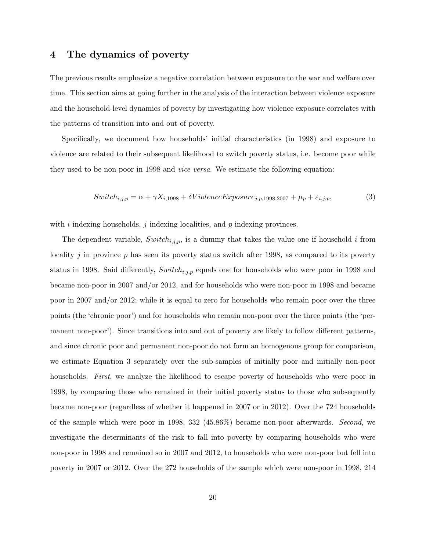## 4 The dynamics of poverty

The previous results emphasize a negative correlation between exposure to the war and welfare over time. This section aims at going further in the analysis of the interaction between violence exposure and the household-level dynamics of poverty by investigating how violence exposure correlates with the patterns of transition into and out of poverty.

Specifically, we document how households' initial characteristics (in 1998) and exposure to violence are related to their subsequent likelihood to switch poverty status, i.e. become poor while they used to be non-poor in 1998 and vice versa. We estimate the following equation:

$$
Switch_{i,j,p} = \alpha + \gamma X_{i,1998} + \delta Violence Exposure_{j,p,1998,2007} + \mu_p + \varepsilon_{i,j,p},\tag{3}
$$

with i indexing households, j indexing localities, and  $p$  indexing provinces.

The dependent variable,  $Switch_{i,j,p}$ , is a dummy that takes the value one if household i from locality  $j$  in province  $p$  has seen its poverty status switch after 1998, as compared to its poverty status in 1998. Said differently,  $Switch_{i,j,p}$  equals one for households who were poor in 1998 and became non-poor in 2007 and/or 2012, and for households who were non-poor in 1998 and became poor in 2007 and/or 2012; while it is equal to zero for households who remain poor over the three points (the 'chronic poor') and for households who remain non-poor over the three points (the 'permanent non-poor'). Since transitions into and out of poverty are likely to follow different patterns, and since chronic poor and permanent non-poor do not form an homogenous group for comparison, we estimate Equation 3 separately over the sub-samples of initially poor and initially non-poor households. First, we analyze the likelihood to escape poverty of households who were poor in 1998, by comparing those who remained in their initial poverty status to those who subsequently became non-poor (regardless of whether it happened in 2007 or in 2012). Over the 724 households of the sample which were poor in 1998, 332 (45.86%) became non-poor afterwards. Second, we investigate the determinants of the risk to fall into poverty by comparing households who were non-poor in 1998 and remained so in 2007 and 2012, to households who were non-poor but fell into poverty in 2007 or 2012. Over the 272 households of the sample which were non-poor in 1998, 214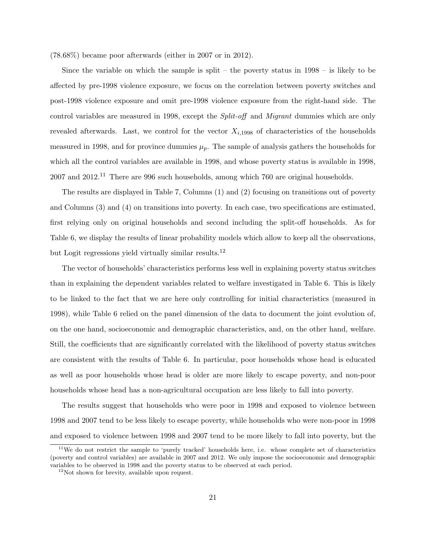(78.68%) became poor afterwards (either in 2007 or in 2012).

Since the variable on which the sample is split – the poverty status in  $1998 -$  is likely to be affected by pre-1998 violence exposure, we focus on the correlation between poverty switches and post-1998 violence exposure and omit pre-1998 violence exposure from the right-hand side. The control variables are measured in 1998, except the *Split-off* and *Migrant* dummies which are only revealed afterwards. Last, we control for the vector  $X_{i,1998}$  of characteristics of the households measured in 1998, and for province dummies  $\mu_p$ . The sample of analysis gathers the households for which all the control variables are available in 1998, and whose poverty status is available in 1998,  $2007$  and  $2012<sup>11</sup>$  There are 996 such households, among which 760 are original households.

The results are displayed in Table 7, Columns (1) and (2) focusing on transitions out of poverty and Columns (3) and (4) on transitions into poverty. In each case, two specifications are estimated, first relying only on original households and second including the split-off households. As for Table 6, we display the results of linear probability models which allow to keep all the observations, but Logit regressions yield virtually similar results.<sup>12</sup>

The vector of households' characteristics performs less well in explaining poverty status switches than in explaining the dependent variables related to welfare investigated in Table 6. This is likely to be linked to the fact that we are here only controlling for initial characteristics (measured in 1998), while Table 6 relied on the panel dimension of the data to document the joint evolution of, on the one hand, socioeconomic and demographic characteristics, and, on the other hand, welfare. Still, the coefficients that are significantly correlated with the likelihood of poverty status switches are consistent with the results of Table 6. In particular, poor households whose head is educated as well as poor households whose head is older are more likely to escape poverty, and non-poor households whose head has a non-agricultural occupation are less likely to fall into poverty.

The results suggest that households who were poor in 1998 and exposed to violence between 1998 and 2007 tend to be less likely to escape poverty, while households who were non-poor in 1998 and exposed to violence between 1998 and 2007 tend to be more likely to fall into poverty, but the

<sup>&</sup>lt;sup>11</sup>We do not restrict the sample to 'purely tracked' households here, i.e. whose complete set of characteristics (poverty and control variables) are available in 2007 and 2012. We only impose the socioeconomic and demographic variables to be observed in 1998 and the poverty status to be observed at each period.

<sup>12</sup>Not shown for brevity, available upon request.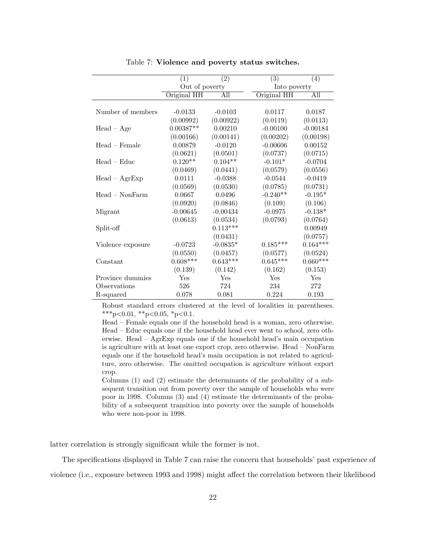|                   | (1)            | (2)        | $\overline{(3)}$ | (4)        |
|-------------------|----------------|------------|------------------|------------|
|                   | Out of poverty |            | Into poverty     |            |
|                   | Original HH    | All        | Original HH      | All        |
|                   |                |            |                  |            |
| Number of members | $-0.0133$      | $-0.0103$  | 0.0117           | 0.0187     |
|                   | (0.00992)      | (0.00922)  | (0.0119)         | (0.0113)   |
| $Head - Age$      | $0.00387**$    | 0.00210    | $-0.00100$       | $-0.00184$ |
|                   | (0.00166)      | (0.00141)  | (0.00202)        | (0.00198)  |
| $Head - Female$   | 0.00879        | $-0.0120$  | $-0.00606$       | 0.00152    |
|                   | (0.0621)       | (0.0501)   | (0.0737)         | (0.0715)   |
| $Head - Eddie$    | $0.120**$      | $0.104**$  | $-0.101*$        | $-0.0704$  |
|                   | (0.0469)       | (0.0441)   | (0.0579)         | (0.0556)   |
| $Head - AgrExp$   | 0.0111         | $-0.0388$  | $-0.0544$        | $-0.0419$  |
|                   | (0.0569)       | (0.0530)   | (0.0785)         | (0.0731)   |
| $Head - NonFarm$  | 0.0667         | 0.0496     | $-0.240**$       | $-0.195*$  |
|                   | (0.0920)       | (0.0846)   | (0.109)          | (0.106)    |
| Migrant           | $-0.00645$     | $-0.00434$ | $-0.0975$        | $-0.138*$  |
|                   | (0.0613)       | (0.0534)   | (0.0793)         | (0.0764)   |
| Split-off         |                | $0.113***$ |                  | 0.00949    |
|                   |                | (0.0431)   |                  | (0.0757)   |
| Violence exposure | $-0.0723$      | $-0.0835*$ | $0.185***$       | $0.164***$ |
|                   | (0.0550)       | (0.0457)   | (0.0577)         | (0.0524)   |
| Constant          | $0.608***$     | $0.643***$ | $0.645***$       | $0.660***$ |
|                   | (0.139)        | (0.142)    | (0.162)          | (0.153)    |
| Province dummies  | Yes            | Yes        | Yes              | Yes        |
| Observations      | 526            | 724        | 234              | 272        |
| R-squared         | 0.078          | 0.081      | 0.224            | 0.193      |

Table 7: Violence and poverty status switches.

Robust standard errors clustered at the level of localities in parentheses. \*\*\*p<0.01, \*\*p<0.05, \*p<0.1.

Head – Female equals one if the household head is a woman, zero otherwise. Head – Educ equals one if the household head ever went to school, zero otherwise. Head – AgrExp equals one if the household head's main occupation is agriculture with at least one export crop, zero otherwise. Head – NonFarm equals one if the household head's main occupation is not related to agriculture, zero otherwise. The omitted occupation is agriculture without export crop.

Columns (1) and (2) estimate the determinants of the probability of a subsequent transition out from poverty over the sample of households who were poor in 1998. Columns (3) and (4) estimate the determinants of the probability of a subsequent transition into poverty over the sample of households who were non-poor in 1998.

latter correlation is strongly significant while the former is not.

The specifications displayed in Table 7 can raise the concern that households' past experience of violence (i.e., exposure between 1993 and 1998) might affect the correlation between their likelihood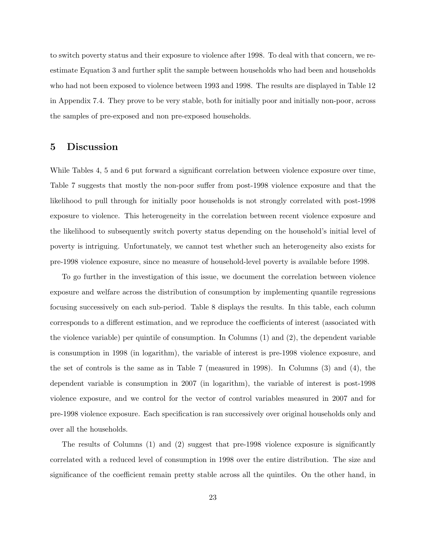to switch poverty status and their exposure to violence after 1998. To deal with that concern, we reestimate Equation 3 and further split the sample between households who had been and households who had not been exposed to violence between 1993 and 1998. The results are displayed in Table 12 in Appendix 7.4. They prove to be very stable, both for initially poor and initially non-poor, across the samples of pre-exposed and non pre-exposed households.

#### 5 Discussion

While Tables 4, 5 and 6 put forward a significant correlation between violence exposure over time, Table 7 suggests that mostly the non-poor suffer from post-1998 violence exposure and that the likelihood to pull through for initially poor households is not strongly correlated with post-1998 exposure to violence. This heterogeneity in the correlation between recent violence exposure and the likelihood to subsequently switch poverty status depending on the household's initial level of poverty is intriguing. Unfortunately, we cannot test whether such an heterogeneity also exists for pre-1998 violence exposure, since no measure of household-level poverty is available before 1998.

To go further in the investigation of this issue, we document the correlation between violence exposure and welfare across the distribution of consumption by implementing quantile regressions focusing successively on each sub-period. Table 8 displays the results. In this table, each column corresponds to a different estimation, and we reproduce the coefficients of interest (associated with the violence variable) per quintile of consumption. In Columns (1) and (2), the dependent variable is consumption in 1998 (in logarithm), the variable of interest is pre-1998 violence exposure, and the set of controls is the same as in Table 7 (measured in 1998). In Columns (3) and (4), the dependent variable is consumption in 2007 (in logarithm), the variable of interest is post-1998 violence exposure, and we control for the vector of control variables measured in 2007 and for pre-1998 violence exposure. Each specification is ran successively over original households only and over all the households.

The results of Columns (1) and (2) suggest that pre-1998 violence exposure is significantly correlated with a reduced level of consumption in 1998 over the entire distribution. The size and significance of the coefficient remain pretty stable across all the quintiles. On the other hand, in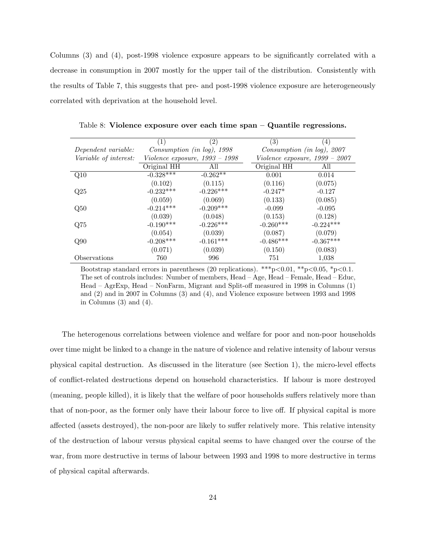Columns (3) and (4), post-1998 violence exposure appears to be significantly correlated with a decrease in consumption in 2007 mostly for the upper tail of the distribution. Consistently with the results of Table 7, this suggests that pre- and post-1998 violence exposure are heterogeneously correlated with deprivation at the household level.

|                       | (1)         | (2)                              | (3)         | (4)                              |
|-----------------------|-------------|----------------------------------|-------------|----------------------------------|
| Dependent variable:   |             | Construction (in log), 1998      |             | Construction (in log), 2007      |
| Variable of interest: |             | Violence exposure, $1993 - 1998$ |             | Violence exposure, $1999 - 2007$ |
|                       | Original HH | All                              | Original HH | All                              |
| Q10                   | $-0.328***$ | $-0.262**$                       | 0.001       | 0.014                            |
|                       | (0.102)     | (0.115)                          | (0.116)     | (0.075)                          |
| Q25                   | $-0.232***$ | $-0.226***$                      | $-0.247*$   | $-0.127$                         |
|                       | (0.059)     | (0.069)                          | (0.133)     | (0.085)                          |
| Q50                   | $-0.214***$ | $-0.209***$                      | $-0.099$    | $-0.095$                         |
|                       | (0.039)     | (0.048)                          | (0.153)     | (0.128)                          |
| Q75                   | $-0.190***$ | $-0.226***$                      | $-0.260***$ | $-0.224***$                      |
|                       | (0.054)     | (0.039)                          | (0.087)     | (0.079)                          |
| Q90                   | $-0.208***$ | $-0.161***$                      | $-0.486***$ | $-0.367***$                      |
|                       | (0.071)     | (0.039)                          | (0.150)     | (0.083)                          |
| Observations          | 760         | 996                              | 751         | 1,038                            |

Table 8: Violence exposure over each time span – Quantile regressions.

Bootstrap standard errors in parentheses (20 replications). \*\*\*p<0.01, \*\*p<0.05, \*p<0.1. The set of controls includes: Number of members, Head – Age, Head – Female, Head – Educ, Head – AgrExp, Head – NonFarm, Migrant and Split-off measured in 1998 in Columns (1) and (2) and in 2007 in Columns (3) and (4), and Violence exposure between 1993 and 1998 in Columns  $(3)$  and  $(4)$ .

The heterogenous correlations between violence and welfare for poor and non-poor households over time might be linked to a change in the nature of violence and relative intensity of labour versus physical capital destruction. As discussed in the literature (see Section 1), the micro-level effects of conflict-related destructions depend on household characteristics. If labour is more destroyed (meaning, people killed), it is likely that the welfare of poor households suffers relatively more than that of non-poor, as the former only have their labour force to live off. If physical capital is more affected (assets destroyed), the non-poor are likely to suffer relatively more. This relative intensity of the destruction of labour versus physical capital seems to have changed over the course of the war, from more destructive in terms of labour between 1993 and 1998 to more destructive in terms of physical capital afterwards.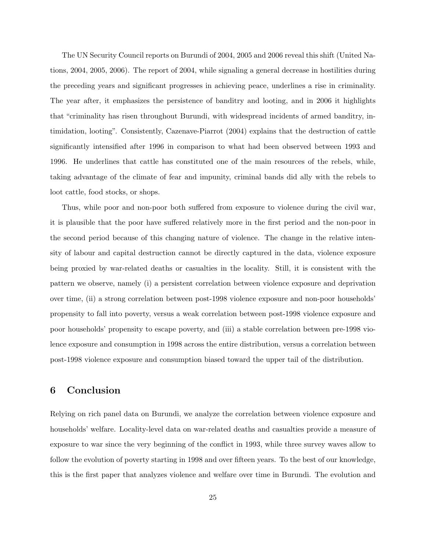The UN Security Council reports on Burundi of 2004, 2005 and 2006 reveal this shift (United Nations, 2004, 2005, 2006). The report of 2004, while signaling a general decrease in hostilities during the preceding years and significant progresses in achieving peace, underlines a rise in criminality. The year after, it emphasizes the persistence of banditry and looting, and in 2006 it highlights that "criminality has risen throughout Burundi, with widespread incidents of armed banditry, intimidation, looting". Consistently, Cazenave-Piarrot (2004) explains that the destruction of cattle significantly intensified after 1996 in comparison to what had been observed between 1993 and 1996. He underlines that cattle has constituted one of the main resources of the rebels, while, taking advantage of the climate of fear and impunity, criminal bands did ally with the rebels to loot cattle, food stocks, or shops.

Thus, while poor and non-poor both suffered from exposure to violence during the civil war, it is plausible that the poor have suffered relatively more in the first period and the non-poor in the second period because of this changing nature of violence. The change in the relative intensity of labour and capital destruction cannot be directly captured in the data, violence exposure being proxied by war-related deaths or casualties in the locality. Still, it is consistent with the pattern we observe, namely (i) a persistent correlation between violence exposure and deprivation over time, (ii) a strong correlation between post-1998 violence exposure and non-poor households' propensity to fall into poverty, versus a weak correlation between post-1998 violence exposure and poor households' propensity to escape poverty, and (iii) a stable correlation between pre-1998 violence exposure and consumption in 1998 across the entire distribution, versus a correlation between post-1998 violence exposure and consumption biased toward the upper tail of the distribution.

## 6 Conclusion

Relying on rich panel data on Burundi, we analyze the correlation between violence exposure and households' welfare. Locality-level data on war-related deaths and casualties provide a measure of exposure to war since the very beginning of the conflict in 1993, while three survey waves allow to follow the evolution of poverty starting in 1998 and over fifteen years. To the best of our knowledge, this is the first paper that analyzes violence and welfare over time in Burundi. The evolution and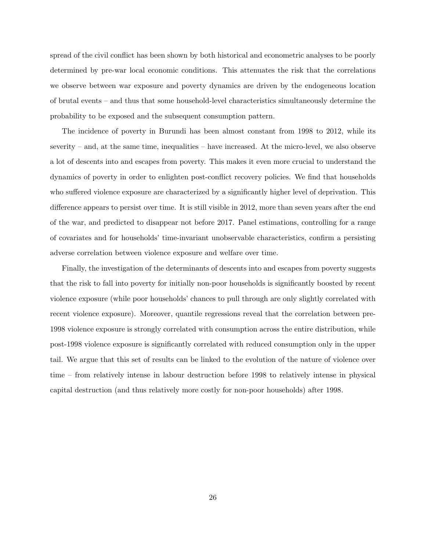spread of the civil conflict has been shown by both historical and econometric analyses to be poorly determined by pre-war local economic conditions. This attenuates the risk that the correlations we observe between war exposure and poverty dynamics are driven by the endogeneous location of brutal events – and thus that some household-level characteristics simultaneously determine the probability to be exposed and the subsequent consumption pattern.

The incidence of poverty in Burundi has been almost constant from 1998 to 2012, while its severity – and, at the same time, inequalities – have increased. At the micro-level, we also observe a lot of descents into and escapes from poverty. This makes it even more crucial to understand the dynamics of poverty in order to enlighten post-conflict recovery policies. We find that households who suffered violence exposure are characterized by a significantly higher level of deprivation. This difference appears to persist over time. It is still visible in 2012, more than seven years after the end of the war, and predicted to disappear not before 2017. Panel estimations, controlling for a range of covariates and for households' time-invariant unobservable characteristics, confirm a persisting adverse correlation between violence exposure and welfare over time.

Finally, the investigation of the determinants of descents into and escapes from poverty suggests that the risk to fall into poverty for initially non-poor households is significantly boosted by recent violence exposure (while poor households' chances to pull through are only slightly correlated with recent violence exposure). Moreover, quantile regressions reveal that the correlation between pre-1998 violence exposure is strongly correlated with consumption across the entire distribution, while post-1998 violence exposure is significantly correlated with reduced consumption only in the upper tail. We argue that this set of results can be linked to the evolution of the nature of violence over time – from relatively intense in labour destruction before 1998 to relatively intense in physical capital destruction (and thus relatively more costly for non-poor households) after 1998.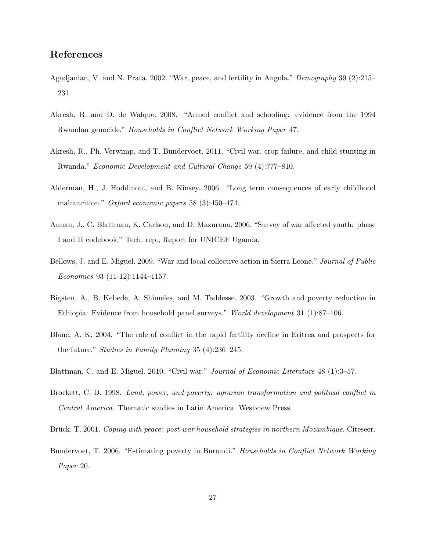## References

- Agadjanian, V. and N. Prata. 2002. "War, peace, and fertility in Angola." Demography 39 (2):215– 231.
- Akresh, R. and D. de Walque. 2008. "Armed conflict and schooling: evidence from the 1994 Rwandan genocide." Households in Conflict Network Working Paper 47.
- Akresh, R., Ph. Verwimp, and T. Bundervoet. 2011. "Civil war, crop failure, and child stunting in Rwanda." Economic Development and Cultural Change 59 (4):777–810.
- Alderman, H., J. Hoddinott, and B. Kinsey. 2006. "Long term consequences of early childhood malnutrition." *Oxford economic papers* 58 (3):450–474.
- Annan, J., C. Blattman, K. Carlson, and D. Mazurana. 2006. "Survey of war affected youth: phase I and II codebook." Tech. rep., Report for UNICEF Uganda.
- Bellows, J. and E. Miguel. 2009. "War and local collective action in Sierra Leone." Journal of Public Economics 93 (11-12):1144–1157.
- Bigsten, A., B. Kebede, A. Shimeles, and M. Taddesse. 2003. "Growth and poverty reduction in Ethiopia: Evidence from household panel surveys." World development 31 (1):87–106.
- Blanc, A. K. 2004. "The role of conflict in the rapid fertility decline in Eritrea and prospects for the future." Studies in Family Planning 35 (4):236–245.
- Blattman, C. and E. Miguel. 2010. "Civil war." Journal of Economic Literature 48 (1):3–57.
- Brockett, C. D. 1998. Land, power, and poverty: agrarian transformation and political conflict in Central America. Thematic studies in Latin America. Westview Press.
- Brück, T. 2001. Coping with peace: post-war household strategies in northern Mozambique. Citeseer.
- Bundervoet, T. 2006. "Estimating poverty in Burundi." *Households in Conflict Network Working* Paper 20.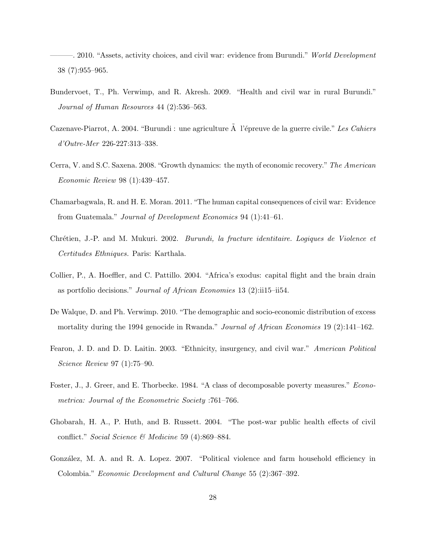-. 2010. "Assets, activity choices, and civil war: evidence from Burundi." *World Development* 38 (7):955–965.

- Bundervoet, T., Ph. Verwimp, and R. Akresh. 2009. "Health and civil war in rural Burundi." Journal of Human Resources 44 (2):536–563.
- Cazenave-Piarrot, A. 2004. "Burundi : une agriculture  $\hat{A}$  l'épreuve de la guerre civile." Les Cahiers d'Outre-Mer 226-227:313–338.
- Cerra, V. and S.C. Saxena. 2008. "Growth dynamics: the myth of economic recovery." The American Economic Review 98 (1):439–457.
- Chamarbagwala, R. and H. E. Moran. 2011. "The human capital consequences of civil war: Evidence from Guatemala." Journal of Development Economics 94 (1):41–61.
- Chrétien, J.-P. and M. Mukuri. 2002. *Burundi, la fracture identitaire. Logiques de Violence et* Certitudes Ethniques. Paris: Karthala.
- Collier, P., A. Hoeffler, and C. Pattillo. 2004. "Africa's exodus: capital flight and the brain drain as portfolio decisions." Journal of African Economies 13 (2):ii15–ii54.
- De Walque, D. and Ph. Verwimp. 2010. "The demographic and socio-economic distribution of excess mortality during the 1994 genocide in Rwanda." *Journal of African Economies* 19 (2):141–162.
- Fearon, J. D. and D. D. Laitin. 2003. "Ethnicity, insurgency, and civil war." American Political Science Review 97 (1):75–90.
- Foster, J., J. Greer, and E. Thorbecke. 1984. "A class of decomposable poverty measures." Econometrica: Journal of the Econometric Society :761–766.
- Ghobarah, H. A., P. Huth, and B. Russett. 2004. "The post-war public health effects of civil conflict." Social Science & Medicine 59 (4):869–884.
- González, M. A. and R. A. Lopez. 2007. "Political violence and farm household efficiency in Colombia." Economic Development and Cultural Change 55 (2):367–392.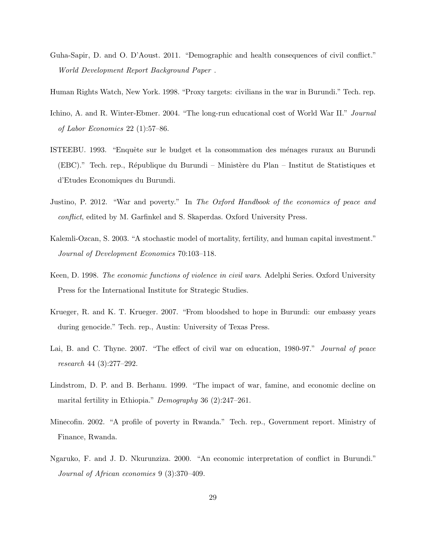Guha-Sapir, D. and O. D'Aoust. 2011. "Demographic and health consequences of civil conflict." World Development Report Background Paper .

Human Rights Watch, New York. 1998. "Proxy targets: civilians in the war in Burundi." Tech. rep.

- Ichino, A. and R. Winter-Ebmer. 2004. "The long-run educational cost of World War II." Journal of Labor Economics 22 (1):57–86.
- ISTEEBU. 1993. "Enquête sur le budget et la consommation des ménages ruraux au Burundi (EBC)." Tech. rep., République du Burundi – Ministère du Plan – Institut de Statistiques et d'Etudes Economiques du Burundi.
- Justino, P. 2012. "War and poverty." In The Oxford Handbook of the economics of peace and conflict, edited by M. Garfinkel and S. Skaperdas. Oxford University Press.
- Kalemli-Ozcan, S. 2003. "A stochastic model of mortality, fertility, and human capital investment." Journal of Development Economics 70:103–118.
- Keen, D. 1998. The economic functions of violence in civil wars. Adelphi Series. Oxford University Press for the International Institute for Strategic Studies.
- Krueger, R. and K. T. Krueger. 2007. "From bloodshed to hope in Burundi: our embassy years during genocide." Tech. rep., Austin: University of Texas Press.
- Lai, B. and C. Thyne. 2007. "The effect of civil war on education, 1980-97." Journal of peace research 44 (3):277–292.
- Lindstrom, D. P. and B. Berhanu. 1999. "The impact of war, famine, and economic decline on marital fertility in Ethiopia." Demography 36 (2):247–261.
- Minecofin. 2002. "A profile of poverty in Rwanda." Tech. rep., Government report. Ministry of Finance, Rwanda.
- Ngaruko, F. and J. D. Nkurunziza. 2000. "An economic interpretation of conflict in Burundi." Journal of African economies 9 (3):370–409.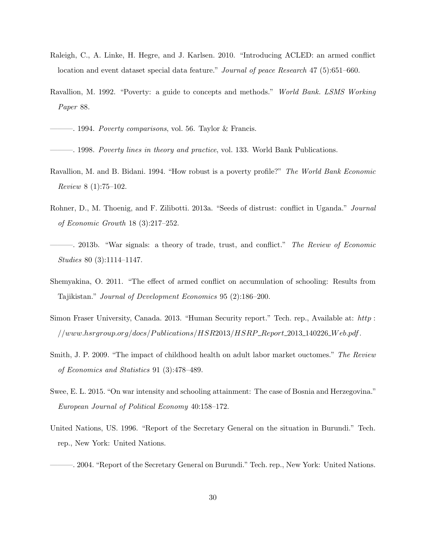- Raleigh, C., A. Linke, H. Hegre, and J. Karlsen. 2010. "Introducing ACLED: an armed conflict location and event dataset special data feature." Journal of peace Research 47 (5):651–660.
- Ravallion, M. 1992. "Poverty: a guide to concepts and methods." World Bank. LSMS Working Paper 88.
- $-$ . 1994. *Poverty comparisons*, vol. 56. Taylor & Francis.

———. 1998. Poverty lines in theory and practice, vol. 133. World Bank Publications.

- Ravallion, M. and B. Bidani. 1994. "How robust is a poverty profile?" The World Bank Economic Review 8 (1):75–102.
- Rohner, D., M. Thoenig, and F. Zilibotti. 2013a. "Seeds of distrust: conflict in Uganda." Journal of Economic Growth 18 (3):217–252.
- ———. 2013b. "War signals: a theory of trade, trust, and conflict." The Review of Economic Studies 80 (3):1114–1147.
- Shemyakina, O. 2011. "The effect of armed conflict on accumulation of schooling: Results from Tajikistan." Journal of Development Economics 95 (2):186–200.
- Simon Fraser University, Canada. 2013. "Human Security report." Tech. rep., Available at: http :  $//www.hsrgroup.org/docs/Publications/HSR2013/HSRP_Report_2013.140226_Web.pdf.$
- Smith, J. P. 2009. "The impact of childhood health on adult labor market ouctomes." The Review of Economics and Statistics 91 (3):478–489.
- Swee, E. L. 2015. "On war intensity and schooling attainment: The case of Bosnia and Herzegovina." European Journal of Political Economy 40:158–172.
- United Nations, US. 1996. "Report of the Secretary General on the situation in Burundi." Tech. rep., New York: United Nations.
- ———. 2004. "Report of the Secretary General on Burundi." Tech. rep., New York: United Nations.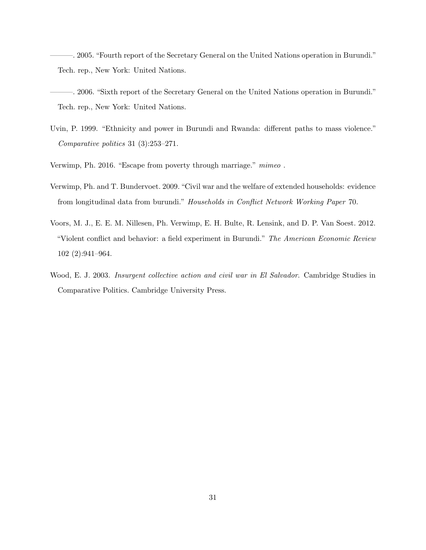———. 2005. "Fourth report of the Secretary General on the United Nations operation in Burundi." Tech. rep., New York: United Nations.

- ———. 2006. "Sixth report of the Secretary General on the United Nations operation in Burundi." Tech. rep., New York: United Nations.
- Uvin, P. 1999. "Ethnicity and power in Burundi and Rwanda: different paths to mass violence." Comparative politics 31 (3):253–271.
- Verwimp, Ph. 2016. "Escape from poverty through marriage." mimeo .
- Verwimp, Ph. and T. Bundervoet. 2009. "Civil war and the welfare of extended households: evidence from longitudinal data from burundi." Households in Conflict Network Working Paper 70.
- Voors, M. J., E. E. M. Nillesen, Ph. Verwimp, E. H. Bulte, R. Lensink, and D. P. Van Soest. 2012. "Violent conflict and behavior: a field experiment in Burundi." The American Economic Review 102 (2):941–964.
- Wood, E. J. 2003. Insurgent collective action and civil war in El Salvador. Cambridge Studies in Comparative Politics. Cambridge University Press.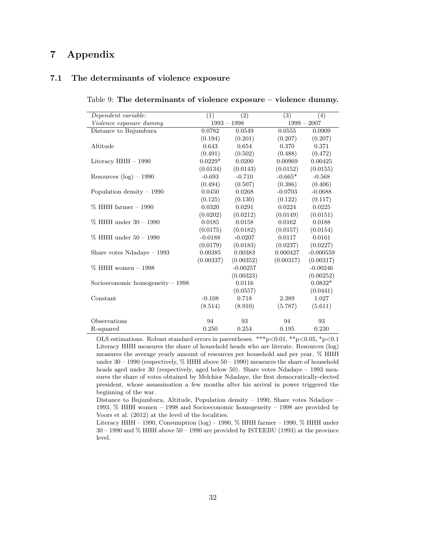## 7 Appendix

#### 7.1 The determinants of violence exposure

| Dependent variable:               | (1)       | $\overline{(2)}$ | $\overline{(3)}$ | (4)           |
|-----------------------------------|-----------|------------------|------------------|---------------|
| Violence exposure dummy           |           | $1993 - 1998$    |                  | $1999 - 2007$ |
| Distance to Bujumbura             | 0.0782    | 0.0549           | 0.0555           | 0.0909        |
|                                   | (0.194)   | (0.201)          | (0.207)          | (0.207)       |
| Altitude                          | 0.643     | 0.654            | 0.370            | 0.371         |
|                                   | (0.491)   | (0.502)          | (0.488)          | (0.472)       |
| Literacy $HHH - 1990$             | $0.0229*$ | 0.0200           | 0.00969          | 0.00425       |
|                                   | (0.0134)  | (0.0143)         | (0.0152)         | (0.0155)      |
| Resources $(log) - 1990$          | $-0.693$  | $-0.710$         | $-0.665*$        | $-0.568$      |
|                                   | (0.494)   | (0.507)          | (0.386)          | (0.406)       |
| Population density $-1990$        | 0.0450    | 0.0268           | $-0.0703$        | $-0.0688$     |
|                                   | (0.125)   | (0.130)          | (0.122)          | (0.117)       |
| $\%$ HHH farmer $-1990$           | 0.0320    | 0.0291           | 0.0224           | 0.0225        |
|                                   | (0.0202)  | (0.0212)         | (0.0149)         | (0.0151)      |
| % HHH under 30 – 1990             | 0.0185    | 0.0158           | 0.0162           | 0.0188        |
|                                   | (0.0175)  | (0.0182)         | (0.0157)         | (0.0154)      |
| $\%$ HHH under $50 - 1990$        | $-0.0188$ | $-0.0207$        | 0.0117           | 0.0161        |
|                                   | (0.0179)  | (0.0183)         | (0.0237)         | (0.0227)      |
| Share votes $Ndadaye - 1993$      | 0.00385   | 0.00383          | 0.000427         | $-0.000559$   |
|                                   | (0.00337) | (0.00352)        | (0.00317)        | (0.00317)     |
| $\%$ HHH women $-1998$            |           | $-0.00257$       |                  | $-0.00246$    |
|                                   |           | (0.00323)        |                  | (0.00252)     |
| Socioeconomic homogeneity $-1998$ |           | 0.0116           |                  | $0.0832*$     |
|                                   |           | (0.0557)         |                  | (0.0441)      |
| Constant                          | $-0.108$  | 0.718            | 2.389            | 1.027         |
|                                   | (8.514)   | (8.910)          | (5.787)          | (5.611)       |
|                                   |           |                  |                  |               |
| Observations                      | 94        | 93               | 94               | 93            |
| R-squared                         | 0.250     | 0.254            | 0.195            | 0.230         |

Table 9: The determinants of violence exposure – violence dummy.

OLS estimations. Robust standard errors in parentheses. \*\*\*p<0.01, \*\*p<0.05, \*p<0.1 Literacy HHH measures the share of household heads who are literate. Resources (log) measures the average yearly amount of resources per household and per year. % HHH under 30 – 1990 (respectively, % HHH above 50 – 1990) measures the share of household heads aged under 30 (respectively, aged below 50). Share votes Ndadaye – 1993 measures the share of votes obtained by Melchior Ndadaye, the first democratically-elected president, whose assassination a few months after his arrival in power triggered the beginning of the war.

Distance to Bujumbura, Altitude, Population density – 1990, Share votes Ndadaye – 1993, % HHH women – 1998 and Socioeconomic homogeneity – 1998 are provided by Voors et al. (2012) at the level of the localities.

Literacy HHH – 1990, Consumption (log) – 1990, % HHH farmer – 1990, % HHH under 30 – 1990 and % HHH above 50 – 1990 are provided by ISTEEBU (1993) at the province level.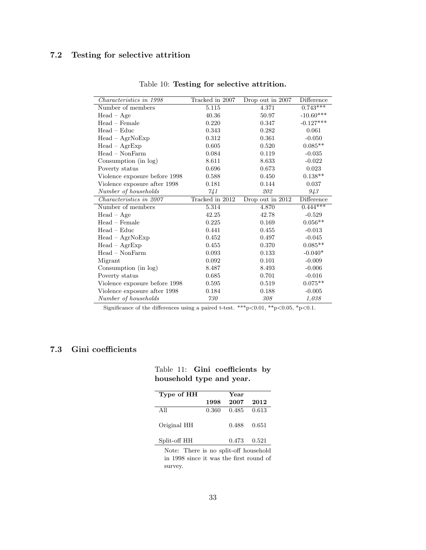## 7.2 Testing for selective attrition

| Characteristics in 1998       | Tracked in 2007 | Drop out in 2007 | Difference  |
|-------------------------------|-----------------|------------------|-------------|
| Number of members             | 5.115           | 4.371            | $0.743***$  |
| $Head - Age$                  | 40.36           | 50.97            | $-10.60***$ |
| Head - Female                 | 0.220           | 0.347            | $-0.127***$ |
| $Head - Eddie$                | 0.343           | 0.282            | 0.061       |
| $Head - AgrNoExp$             | 0.312           | 0.361            | $-0.050$    |
| $Head - AgrExp$               | 0.605           | 0.520            | $0.085**$   |
| $Head - NonFarm$              | 0.084           | 0.119            | $-0.035$    |
| Consumption (in log)          | 8.611           | 8.633            | $-0.022$    |
| Poverty status                | 0.696           | 0.673            | 0.023       |
| Violence exposure before 1998 | 0.588           | 0.450            | $0.138**$   |
| Violence exposure after 1998  | 0.181           | 0.144            | 0.037       |
| Number of households          | 741             | 202              | 943         |
| Characteristics in 2007       | Tracked in 2012 | Drop out in 2012 | Difference  |
| Number of members             | 5.314           | 4.870            | $0.444***$  |
| $Head - Age$                  | 42.25           | 42.78            | $-0.529$    |
| $Head - Female$               | 0.225           | 0.169            | $0.056**$   |
| $Head - Educ$                 | 0.441           | 0.455            | $-0.013$    |
| $Head - AgrNoExp$             | 0.452           | 0.497            | $-0.045$    |
| $Head - AgrExp$               | 0.455           | 0.370            | $0.085**$   |
| $Head - NonFarm$              | 0.093           | 0.133            | $-0.040*$   |
| Migrant                       | 0.092           | 0.101            | $-0.009$    |
| Consumption (in log)          | 8.487           | 8.493            | $-0.006$    |
| Poverty status                | 0.685           | 0.701            | $-0.016$    |
| Violence exposure before 1998 | 0.595           | 0.519            | $0.075**$   |
| Violence exposure after 1998  | 0.184           | 0.188            | $-0.005$    |
| Number of households          | 730             | 308              | 1,038       |
|                               |                 |                  |             |

Table 10: Testing for selective attrition.

Significance of the differences using a paired t-test. \*\*\*p<0.01, \*\*p<0.05, \*p<0.1.

## 7.3 Gini coefficients

| Type of HH   |       | Year  |       |
|--------------|-------|-------|-------|
|              | 1998  | 2007  | 2012  |
| All          | 0.360 | 0.485 | 0.613 |
| Original HH  |       | 0.488 | 0.651 |
| Split-off HH |       | 0.473 | 0.521 |

#### Table 11: Gini coefficients by household type and year.

Note: There is no split-off household in 1998 since it was the first round of survey.